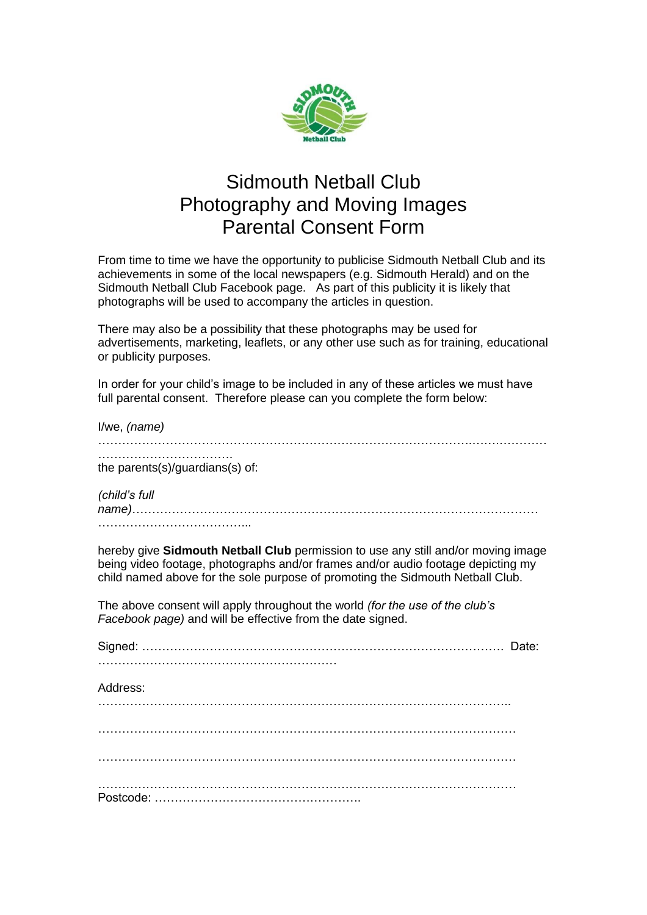

## Sidmouth Netball Club Photography and Moving Images Parental Consent Form

From time to time we have the opportunity to publicise Sidmouth Netball Club and its achievements in some of the local newspapers (e.g. Sidmouth Herald) and on the Sidmouth Netball Club Facebook page. As part of this publicity it is likely that photographs will be used to accompany the articles in question.

There may also be a possibility that these photographs may be used for advertisements, marketing, leaflets, or any other use such as for training, educational or publicity purposes.

In order for your child's image to be included in any of these articles we must have full parental consent. Therefore please can you complete the form below:

| I/we, (name)                                                                                                                                                                                                                                            |
|---------------------------------------------------------------------------------------------------------------------------------------------------------------------------------------------------------------------------------------------------------|
| the parents(s)/guardians(s) of:                                                                                                                                                                                                                         |
| (child's full                                                                                                                                                                                                                                           |
| hereby give Sidmouth Netball Club permission to use any still and/or moving image<br>being video footage, photographs and/or frames and/or audio footage depicting my<br>child named above for the sole purpose of promoting the Sidmouth Netball Club. |
| The above consent will apply throughout the world (for the use of the club's<br>Facebook page) and will be effective from the date signed.                                                                                                              |
|                                                                                                                                                                                                                                                         |
| Address:                                                                                                                                                                                                                                                |
|                                                                                                                                                                                                                                                         |
|                                                                                                                                                                                                                                                         |
|                                                                                                                                                                                                                                                         |